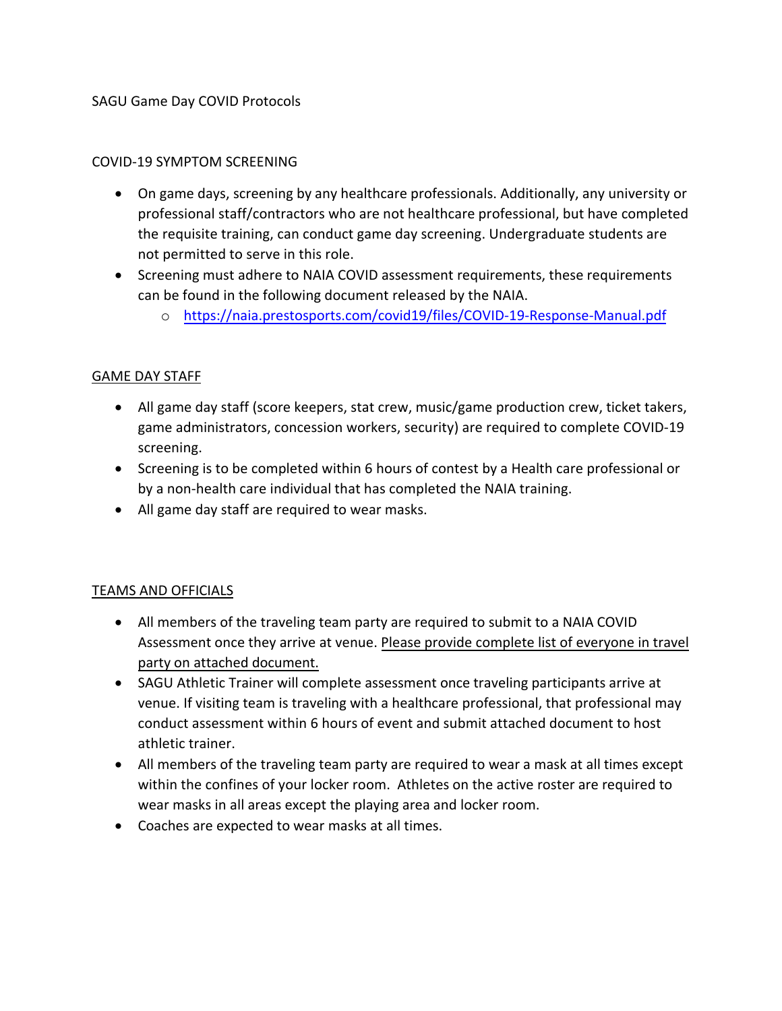# SAGU Game Day COVID Protocols

### COVID-19 SYMPTOM SCREENING

- On game days, screening by any healthcare professionals. Additionally, any university or professional staff/contractors who are not healthcare professional, but have completed the requisite training, can conduct game day screening. Undergraduate students are not permitted to serve in this role.
- Screening must adhere to NAIA COVID assessment requirements, these requirements can be found in the following document released by the NAIA.
	- o <https://naia.prestosports.com/covid19/files/COVID-19-Response-Manual.pdf>

### GAME DAY STAFF

- All game day staff (score keepers, stat crew, music/game production crew, ticket takers, game administrators, concession workers, security) are required to complete COVID-19 screening.
- Screening is to be completed within 6 hours of contest by a Health care professional or by a non-health care individual that has completed the NAIA training.
- All game day staff are required to wear masks.

### TEAMS AND OFFICIALS

- All members of the traveling team party are required to submit to a NAIA COVID Assessment once they arrive at venue. Please provide complete list of everyone in travel party on attached document.
- SAGU Athletic Trainer will complete assessment once traveling participants arrive at venue. If visiting team is traveling with a healthcare professional, that professional may conduct assessment within 6 hours of event and submit attached document to host athletic trainer.
- All members of the traveling team party are required to wear a mask at all times except within the confines of your locker room. Athletes on the active roster are required to wear masks in all areas except the playing area and locker room.
- Coaches are expected to wear masks at all times.